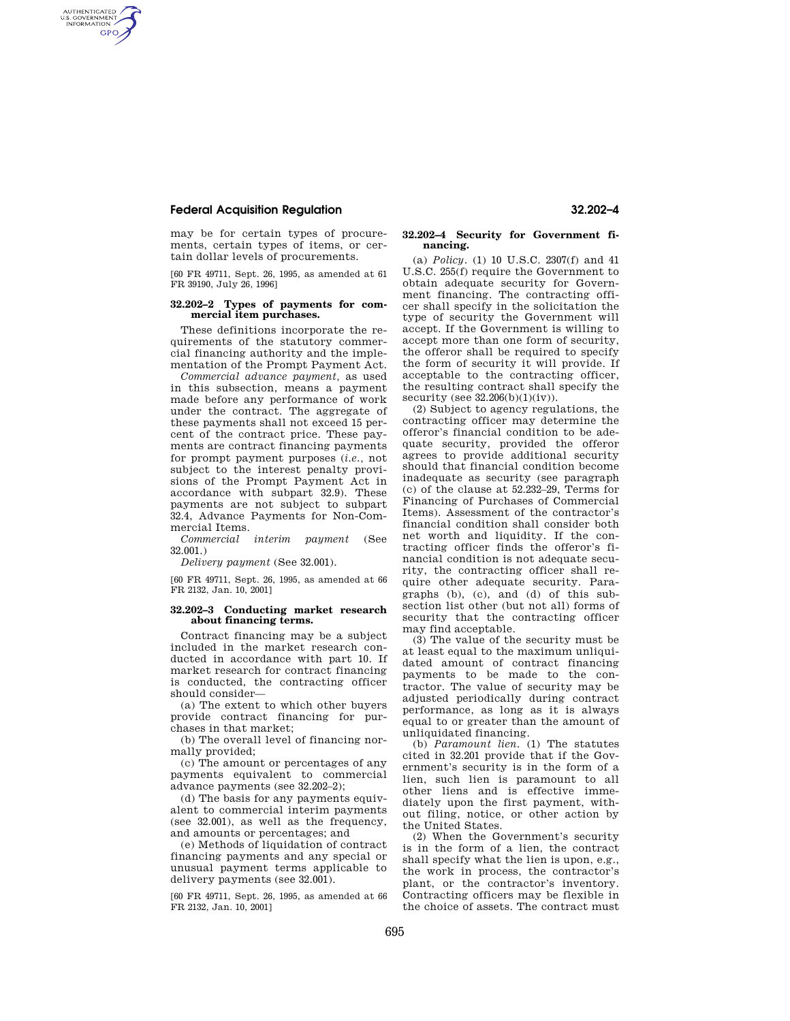# **Federal Acquisition Regulation 32.202–4**

AUTHENTICATED<br>U.S. GOVERNMENT<br>INFORMATION **GPO** 

> may be for certain types of procurements, certain types of items, or certain dollar levels of procurements.

> [60 FR 49711, Sept. 26, 1995, as amended at 61 FR 39190, July 26, 1996]

## **32.202–2 Types of payments for commercial item purchases.**

These definitions incorporate the requirements of the statutory commercial financing authority and the implementation of the Prompt Payment Act.

*Commercial advance payment,* as used in this subsection, means a payment made before any performance of work under the contract. The aggregate of these payments shall not exceed 15 percent of the contract price. These payments are contract financing payments for prompt payment purposes (*i.e.,* not subject to the interest penalty provisions of the Prompt Payment Act in accordance with subpart 32.9). These payments are not subject to subpart 32.4, Advance Payments for Non-Commercial Items.

*Commercial interim payment* (See 32.001.)

*Delivery payment* (See 32.001).

[60 FR 49711, Sept. 26, 1995, as amended at 66 FR 2132, Jan. 10, 2001]

### **32.202–3 Conducting market research about financing terms.**

Contract financing may be a subject included in the market research conducted in accordance with part 10. If market research for contract financing is conducted, the contracting officer should consider—

(a) The extent to which other buyers provide contract financing for purchases in that market;

(b) The overall level of financing normally provided;

(c) The amount or percentages of any payments equivalent to commercial advance payments (see 32.202–2);

(d) The basis for any payments equivalent to commercial interim payments (see 32.001), as well as the frequency, and amounts or percentages; and

(e) Methods of liquidation of contract financing payments and any special or unusual payment terms applicable to delivery payments (see 32.001).

[60 FR 49711, Sept. 26, 1995, as amended at 66 FR 2132, Jan. 10, 2001]

#### **32.202–4 Security for Government financing.**

(a) *Policy.* (1) 10 U.S.C. 2307(f) and 41 U.S.C. 255(f) require the Government to obtain adequate security for Government financing. The contracting officer shall specify in the solicitation the type of security the Government will accept. If the Government is willing to accept more than one form of security, the offeror shall be required to specify the form of security it will provide. If acceptable to the contracting officer, the resulting contract shall specify the security (see  $32.206(b)(1)(iv)$ ).

(2) Subject to agency regulations, the contracting officer may determine the offeror's financial condition to be adequate security, provided the offeror agrees to provide additional security should that financial condition become inadequate as security (see paragraph (c) of the clause at 52.232–29, Terms for Financing of Purchases of Commercial Items). Assessment of the contractor's financial condition shall consider both net worth and liquidity. If the contracting officer finds the offeror's financial condition is not adequate security, the contracting officer shall require other adequate security. Paragraphs (b), (c), and (d) of this subsection list other (but not all) forms of security that the contracting officer may find acceptable.

(3) The value of the security must be at least equal to the maximum unliquidated amount of contract financing payments to be made to the contractor. The value of security may be adjusted periodically during contract performance, as long as it is always equal to or greater than the amount of unliquidated financing.

(b) *Paramount lien.* (1) The statutes cited in 32.201 provide that if the Government's security is in the form of a lien, such lien is paramount to all other liens and is effective immediately upon the first payment, without filing, notice, or other action by the United States.

(2) When the Government's security is in the form of a lien, the contract shall specify what the lien is upon, e.g., the work in process, the contractor's plant, or the contractor's inventory. Contracting officers may be flexible in the choice of assets. The contract must